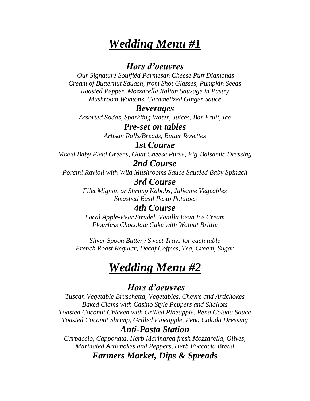# *Wedding Menu #1*

### *Hors d'oeuvres*

*Our Signature Souffléd Parmesan Cheese Puff Diamonds Cream of Butternut Squash, from Shot Glasses, Pumpkin Seeds Roasted Pepper, Mozzarella Italian Sausage in Pastry Mushroom Wontons, Caramelized Ginger Sauce*

#### *Beverages*

*Assorted Sodas, Sparkling Water, Juices, Bar Fruit, Ice*

## *Pre-set on tables*

*Artisan Rolls/Breads, Butter Rosettes*

#### *1st Course*

*Mixed Baby Field Greens, Goat Cheese Purse, Fig-Balsamic Dressing*

# *2nd Course*

*Porcini Ravioli with Wild Mushrooms Sauce Sautéed Baby Spinach*

## *3rd Course*

*Filet Mignon or Shrimp Kabobs, Julienne Vegeables Smashed Basil Pesto Potatoes*

### *4th Course*

*Local Apple-Pear Strudel, Vanilla Bean Ice Cream Flourless Chocolate Cake with Walnut Brittle*

*Silver Spoon Buttery Sweet Trays for each table French Roast Regular, Decaf Coffees, Tea, Cream, Sugar*

# *Wedding Menu #2*

## *Hors d'oeuvres*

*Tuscan Vegetable Bruschetta, Vegetables, Chevre and Artichokes Baked Clams with Casino Style Peppers and Shallots Toasted Coconut Chicken with Grilled Pineapple, Pena Colada Sauce Toasted Coconut Shrimp, Grilled Pineapple, Pena Colada Dressing*

#### *Anti-Pasta Station*

*Carpaccio, Capponata, Herb Marinared fresh Mozzarella, Olives, Marinated Artichokes and Peppers, Herb Foccacia Bread Farmers Market, Dips & Spreads*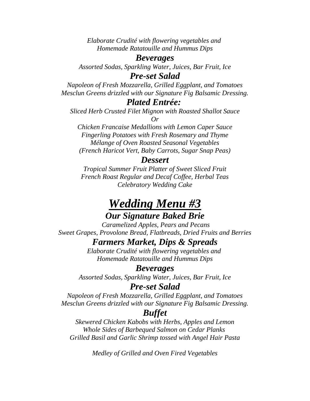*Elaborate Crudité with flowering vegetables and Homemade Ratatouille and Hummus Dips*

#### *Beverages*

*Assorted Sodas, Sparkling Water, Juices, Bar Fruit, Ice*

#### *Pre-set Salad*

*Napoleon of Fresh Mozzarella, Grilled Eggplant, and Tomatoes Mesclun Greens drizzled with our Signature Fig Balsamic Dressing.*

#### *Plated Entrée:*

*Sliced Herb Crusted Filet Mignon with Roasted Shallot Sauce Or*

*Chicken Francaise Medallions with Lemon Caper Sauce Fingerling Potatoes with Fresh Rosemary and Thyme Mélange of Oven Roasted Seasonal Vegetables (French Haricot Vert, Baby Carrots, Sugar Snap Peas)*

#### *Dessert*

*Tropical Summer Fruit Platter of Sweet Sliced Fruit French Roast Regular and Decaf Coffee, Herbal Teas Celebratory Wedding Cake*

# *Wedding Menu #3 Our Signature Baked Brie*

*Caramelized Apples, Pears and Pecans Sweet Grapes, Provolone Bread, Flatbreads, Dried Fruits and Berries*

### *Farmers Market, Dips & Spreads*

*Elaborate Crudité with flowering vegetables and Homemade Ratatouille and Hummus Dips*

#### *Beverages*

*Assorted Sodas, Sparkling Water, Juices, Bar Fruit, Ice*

### *Pre-set Salad*

*Napoleon of Fresh Mozzarella, Grilled Eggplant, and Tomatoes Mesclun Greens drizzled with our Signature Fig Balsamic Dressing.*

### *Buffet*

*Skewered Chicken Kabobs with Herbs, Apples and Lemon Whole Sides of Barbequed Salmon on Cedar Planks Grilled Basil and Garlic Shrimp tossed with Angel Hair Pasta*

*Medley of Grilled and Oven Fired Vegetables*